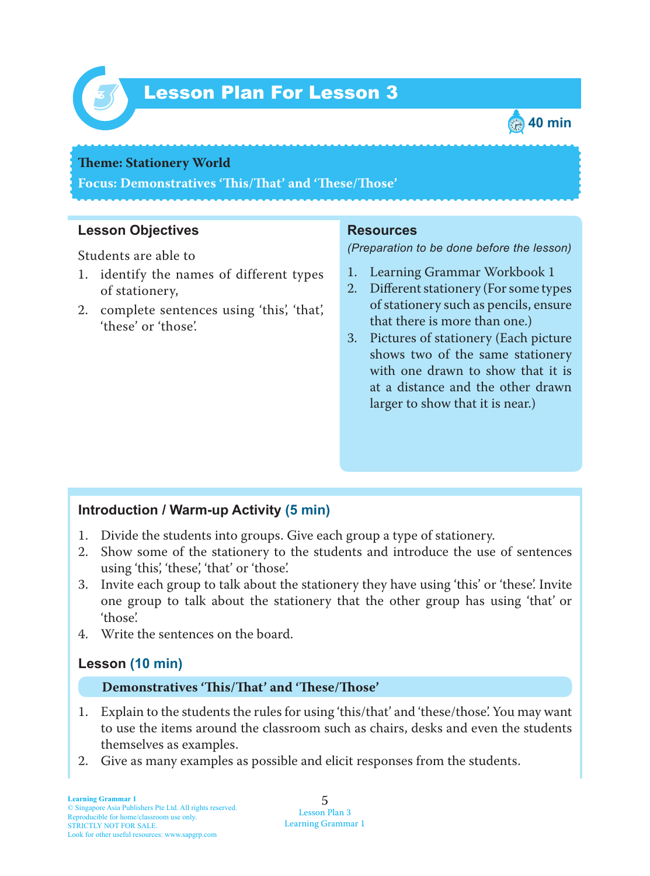

# Lesson Plan For Lesson 3 *3*



#### **Theme: Stationery World**

**Focus: Demonstratives 'Tis/Tat' and 'Tese/Tose'**

## **Lesson Objectives**

Students are able to

- 1. identify the names of different types of stationery,
- 2. complete sentences using 'this', 'that', 'these' or 'those'.

#### **Resources**

*(Preparation to be done before the lesson)*

- 1. Learning Grammar Workbook 1
- 2. Different stationery (For some types of stationery such as pencils, ensure that there is more than one.)
- 3. Pictures of stationery (Each picture shows two of the same stationery with one drawn to show that it is at a distance and the other drawn larger to show that it is near.)

## **Introduction / Warm-up Activity (5 min)**

- 1. Divide the students into groups. Give each group a type of stationery.
- 2. Show some of the stationery to the students and introduce the use of sentences using 'this', 'these', 'that' or 'those'.
- 3. Invite each group to talk about the stationery they have using 'this' or 'these'. Invite one group to talk about the stationery that the other group has using 'that' or 'those'.
- 4. Write the sentences on the board.

## **Lesson (10 min)**

#### **Demonstratives 'Tis/Tat' and 'Tese/Tose'**

- 1 . Explain to the students the rules for using 'this/that' and 'these/those'. You may want to use the items around the classroom such as chairs, desks and even the students themselves as examples.
- 2. Give as many examples as possible and elicit responses from the students.

5 Lesson Plan 3 Learning Grammar 1